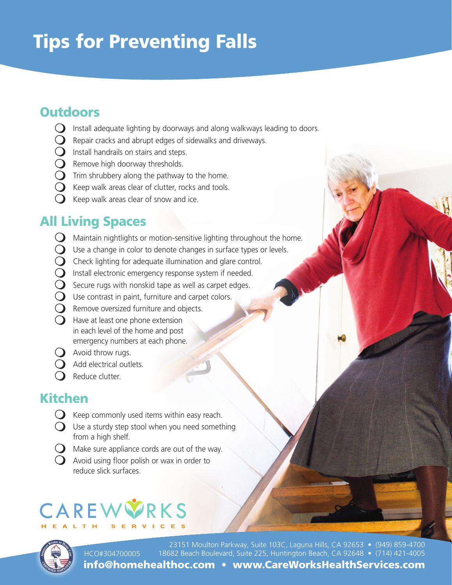# Tips for Preventing Falls

### **Outdoors**

- $\bigcirc$  Install adequate lighting by doorways and along walkways leading to doors.
- $\Omega$  Repair cracks and abrupt edges of sidewalks and driveways.
- $\bigcirc$  Install handrails on stairs and steps.
- $\Omega$  Remove high doorway thresholds.
- $\Omega$  Trim shrubbery along the pathway to the home.
- $\Omega$  Keep walk areas clear of clutter, rocks and tools.
- $\bigcirc$  Keep walk areas clear of snow and ice.

## All Living Spaces

- $\bigcirc$  Maintain nightlights or motion-sensitive lighting throughout the home.
- $\bigcirc$  Use a change in color to denote changes in surface types or levels.
- $\Omega$  Check lighting for adequate illumination and glare control.
- $\Omega$  Install electronic emergency response system if needed.
- $\bigcirc$  Secure rugs with nonskid tape as well as carpet edges.
- $\bigcirc$  Use contrast in paint, furniture and carpet colors.
- $\Omega$  Remove oversized furniture and objects.
- $\Omega$  Have at least one phone extension in each level of the home and post emergency numbers at each phone.
- $\bigcirc$  Avoid throw rugs.
- (D) Add electrical outlets.
- $\Omega$  Reduce clutter.

### Kitchen

- $\Omega$  Keep commonly used items within easy reach.
- $\bigcirc$  Use a sturdy step stool when you need something from a high shelf.
- $\bigcirc$  Make sure appliance cords are out of the way.
- $\bigcirc$  Avoid using floor polish or wax in order to reduce slick surfaces.

# RKS



23151 Moulton Parkway, Suite 103C, Laguna Hills, CA 92653 • (949) 859-4700 18682 Beach Boulevard, Suite 225, Huntington Beach, CA 92648 • (714) 421-4005 info@homehealthoc.com • www.CareWorksHealthServices.com HCO#304700005